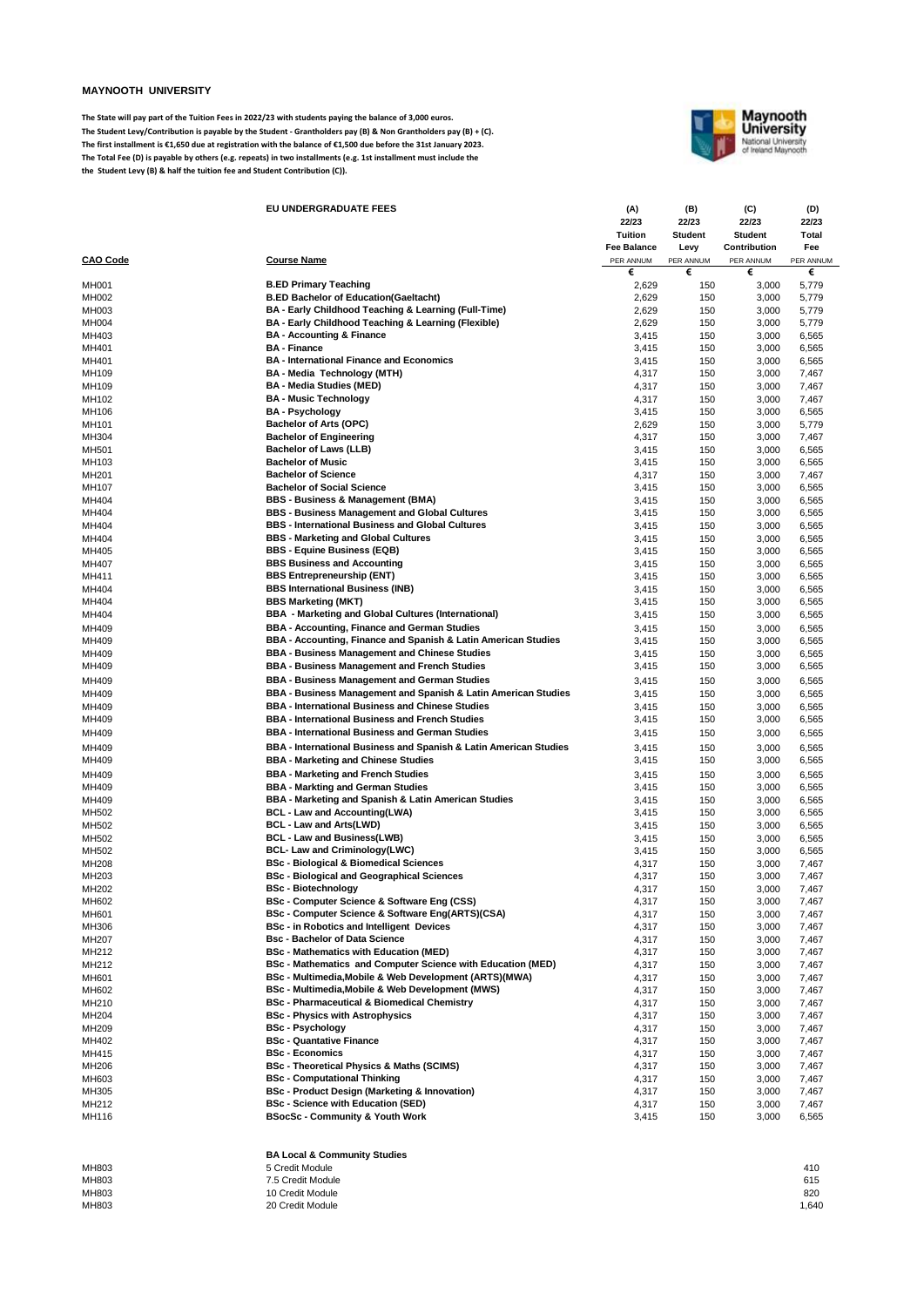## **MAYNOOTH UNIVERSITY**

**The State will pay part of the Tuition Fees in 2022/23 with students paying the balance of 3,000 euros. The Student Levy/Contribution is payable by the Student - Grantholders pay (B) & Non Grantholders pay (B) + (C). The first installment is €1,650 due at registration with the balance of €1,500 due before the 31st January 2023. The Total Fee (D) is payable by others (e.g. repeats) in two installments (e.g. 1st installment must include the the Student Levy (B) & half the tuition fee and Student Contribution (C)).**



|                 | EU UNDERGRADUATE FEES                                             | (A)         | (B)            | (C)            | (D)       |
|-----------------|-------------------------------------------------------------------|-------------|----------------|----------------|-----------|
|                 |                                                                   | 22/23       | 22/23          | 22/23          | 22/23     |
|                 |                                                                   | Tuition     | <b>Student</b> | <b>Student</b> | Total     |
|                 |                                                                   | Fee Balance | Levy           | Contribution   | Fee       |
| <b>CAO Code</b> | <b>Course Name</b>                                                | PER ANNUM   | PER ANNUM      | PER ANNUM      | PER ANNUM |
|                 |                                                                   | €           | €              | €              | €         |
| <b>MH001</b>    | <b>B.ED Primary Teaching</b>                                      | 2,629       | 150            | 3,000          | 5,779     |
| MH002           | <b>B.ED Bachelor of Education(Gaeltacht)</b>                      | 2,629       | 150            | 3,000          | 5,779     |
| MH003           | BA - Early Childhood Teaching & Learning (Full-Time)              | 2,629       | 150            | 3,000          | 5,779     |
|                 |                                                                   |             |                |                |           |
| MH004           | BA - Early Childhood Teaching & Learning (Flexible)               | 2,629       | 150            | 3,000          | 5,779     |
| MH403           | <b>BA - Accounting &amp; Finance</b>                              | 3,415       | 150            | 3,000          | 6,565     |
| MH401           | <b>BA - Finance</b>                                               | 3,415       | 150            | 3,000          | 6,565     |
| MH401           | <b>BA - International Finance and Economics</b>                   | 3,415       | 150            | 3,000          | 6,565     |
| MH109           | BA - Media Technology (MTH)                                       | 4,317       | 150            | 3,000          | 7,467     |
| MH109           | <b>BA - Media Studies (MED)</b>                                   | 4,317       | 150            | 3,000          | 7,467     |
| MH102           | <b>BA - Music Technology</b>                                      | 4,317       | 150            | 3,000          | 7,467     |
|                 | <b>BA - Psychology</b>                                            |             |                |                |           |
| MH106           |                                                                   | 3,415       | 150            | 3,000          | 6,565     |
| MH101           | Bachelor of Arts (OPC)                                            | 2,629       | 150            | 3,000          | 5,779     |
| MH304           | <b>Bachelor of Engineering</b>                                    | 4,317       | 150            | 3,000          | 7,467     |
| MH501           | Bachelor of Laws (LLB)                                            | 3,415       | 150            | 3,000          | 6,565     |
| MH103           | <b>Bachelor of Music</b>                                          | 3,415       | 150            | 3,000          | 6,565     |
| MH201           | <b>Bachelor of Science</b>                                        | 4,317       | 150            | 3,000          | 7,467     |
| MH107           | <b>Bachelor of Social Science</b>                                 | 3,415       | 150            | 3,000          | 6,565     |
| MH404           | BBS - Business & Management (BMA)                                 | 3,415       | 150            | 3,000          | 6,565     |
| MH404           | <b>BBS - Business Management and Global Cultures</b>              |             |                |                |           |
|                 |                                                                   | 3,415       | 150            | 3,000          | 6,565     |
| MH404           | <b>BBS - International Business and Global Cultures</b>           | 3,415       | 150            | 3,000          | 6,565     |
| MH404           | <b>BBS - Marketing and Global Cultures</b>                        | 3,415       | 150            | 3,000          | 6,565     |
| MH405           | BBS - Equine Business (EQB)                                       | 3,415       | 150            | 3,000          | 6,565     |
| MH407           | <b>BBS Business and Accounting</b>                                | 3,415       | 150            | 3,000          | 6,565     |
| MH411           | <b>BBS Entrepreneurship (ENT)</b>                                 | 3,415       | 150            | 3,000          | 6,565     |
| MH404           | <b>BBS International Business (INB)</b>                           | 3,415       | 150            | 3,000          | 6,565     |
| MH404           | <b>BBS Marketing (MKT)</b>                                        | 3,415       | 150            | 3,000          | 6,565     |
|                 |                                                                   |             |                |                |           |
| MH404           | BBA - Marketing and Global Cultures (International)               | 3,415       | 150            | 3,000          | 6,565     |
| MH409           | BBA - Accounting, Finance and German Studies                      | 3,415       | 150            | 3,000          | 6,565     |
| MH409           | BBA - Accounting, Finance and Spanish & Latin American Studies    | 3,415       | 150            | 3,000          | 6,565     |
| MH409           | <b>BBA - Business Management and Chinese Studies</b>              | 3,415       | 150            | 3,000          | 6,565     |
| MH409           | <b>BBA - Business Management and French Studies</b>               | 3,415       | 150            | 3,000          | 6,565     |
| MH409           | <b>BBA - Business Management and German Studies</b>               | 3,415       | 150            | 3,000          | 6,565     |
|                 |                                                                   |             |                |                |           |
| MH409           | BBA - Business Management and Spanish & Latin American Studies    | 3,415       | 150            | 3,000          | 6,565     |
| MH409           | <b>BBA - International Business and Chinese Studies</b>           | 3,415       | 150            | 3,000          | 6,565     |
| MH409           | <b>BBA - International Business and French Studies</b>            | 3,415       | 150            | 3,000          | 6,565     |
| MH409           | <b>BBA - International Business and German Studies</b>            | 3,415       | 150            | 3,000          | 6,565     |
| MH409           | BBA - International Business and Spanish & Latin American Studies | 3,415       | 150            | 3,000          | 6,565     |
| MH409           | <b>BBA - Marketing and Chinese Studies</b>                        |             |                |                |           |
|                 |                                                                   | 3,415       | 150            | 3,000          | 6,565     |
| MH409           | <b>BBA - Marketing and French Studies</b>                         | 3,415       | 150            | 3,000          | 6,565     |
| MH409           | <b>BBA - Markting and German Studies</b>                          | 3,415       | 150            | 3,000          | 6,565     |
| MH409           | BBA - Marketing and Spanish & Latin American Studies              | 3,415       | 150            | 3,000          | 6,565     |
| MH502           | <b>BCL - Law and Accounting(LWA)</b>                              | 3,415       | 150            | 3,000          | 6,565     |
| MH502           | BCL - Law and Arts(LWD)                                           | 3,415       | 150            | 3,000          | 6,565     |
| MH502           | <b>BCL - Law and Business(LWB)</b>                                | 3,415       | 150            | 3,000          | 6,565     |
| MH502           | BCL- Law and Criminology(LWC)                                     | 3,415       | 150            | 3,000          | 6,565     |
| MH208           | BSc - Biological & Biomedical Sciences                            | 4,317       | 150            | 3,000          | 7,467     |
|                 |                                                                   |             |                |                |           |
| MH203           | <b>BSc - Biological and Geographical Sciences</b>                 | 4,317       | 150            | 3,000          | 7,467     |
| MH202           | <b>BSc - Biotechnology</b>                                        | 4,317       | 150            | 3,000          | 7,467     |
| MH602           | BSc - Computer Science & Software Eng (CSS)                       | 4,317       | 150            | 3,000          | 7,467     |
| MH601           | BSc - Computer Science & Software Eng(ARTS)(CSA)                  | 4,317       | 150            | 3,000          | 7,467     |
| MH306           | <b>BSc - in Robotics and Intelligent Devices</b>                  | 4,317       | 150            | 3,000          | 7,467     |
| MH207           | <b>Bsc - Bachelor of Data Science</b>                             | 4,317       | 150            | 3,000          | 7,467     |
| MH212           | <b>BSc - Mathematics with Education (MED)</b>                     | 4,317       | 150            | 3,000          | 7,467     |
| MH212           | BSc - Mathematics and Computer Science with Education (MED)       | 4,317       | 150            | 3,000          | 7,467     |
| MH601           | BSc - Multimedia, Mobile & Web Development (ARTS)(MWA)            | 4,317       | 150            | 3,000          | 7,467     |
|                 | BSc - Multimedia, Mobile & Web Development (MWS)                  |             |                |                |           |
| MH602           | <b>BSc - Pharmaceutical &amp; Biomedical Chemistry</b>            | 4,317       | 150            | 3,000          | 7,467     |
| MH210           |                                                                   | 4,317       | 150            | 3,000          | 7,467     |
| MH204           | <b>BSc - Physics with Astrophysics</b>                            | 4,317       | 150            | 3,000          | 7,467     |
| MH209           | <b>BSc - Psychology</b>                                           | 4,317       | 150            | 3,000          | 7,467     |
| MH402           | <b>BSc - Quantative Finance</b>                                   | 4,317       | 150            | 3,000          | 7,467     |
| MH415           | <b>BSc - Economics</b>                                            | 4,317       | 150            | 3,000          | 7,467     |
| MH206           | <b>BSc - Theoretical Physics &amp; Maths (SCIMS)</b>              | 4,317       | 150            | 3,000          | 7,467     |
| MH603           | <b>BSc - Computational Thinking</b>                               | 4,317       | 150            | 3,000          | 7,467     |
| MH305           | <b>BSc - Product Design (Marketing &amp; Innovation)</b>          | 4,317       | 150            | 3,000          | 7,467     |
| MH212           | <b>BSc - Science with Education (SED)</b>                         | 4,317       | 150            | 3,000          | 7,467     |
|                 | <b>BSocSc - Community &amp; Youth Work</b>                        |             |                |                |           |
| MH116           |                                                                   | 3,415       | 150            | 3,000          | 6,565     |
|                 |                                                                   |             |                |                |           |
|                 |                                                                   |             |                |                |           |
|                 | <b>BA Local &amp; Community Studies</b>                           |             |                |                |           |
| MH803           | 5 Credit Module                                                   |             |                |                | 410       |
| MH803           | 7.5 Credit Module                                                 |             |                |                | 615       |
| MH803           | 10 Credit Module                                                  |             |                |                | 820       |

MH803 20 Credit Module 1,640